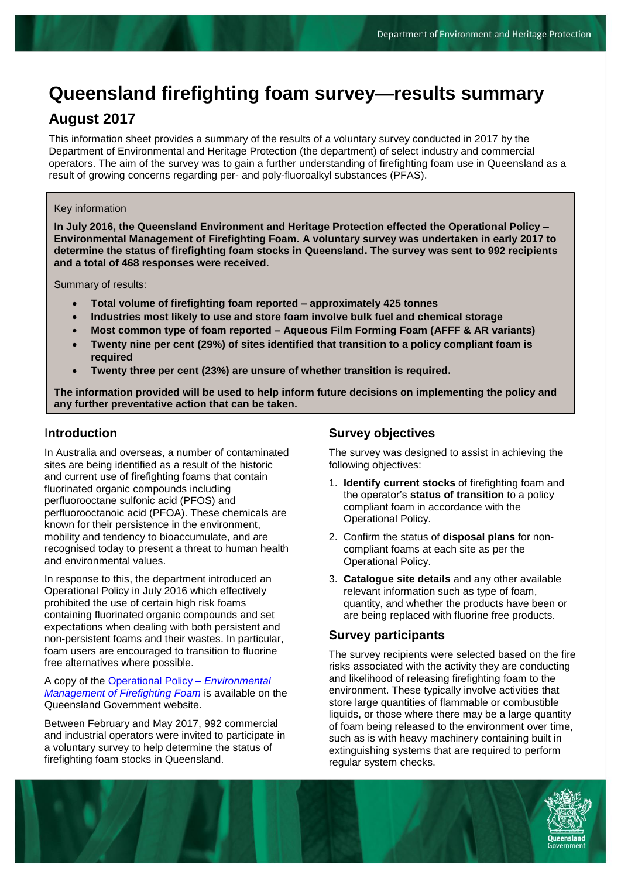# **Queensland firefighting foam survey—results summary**

## **August 2017**

This information sheet provides a summary of the results of a voluntary survey conducted in 2017 by the Department of Environmental and Heritage Protection (the department) of select industry and commercial operators. The aim of the survey was to gain a further understanding of firefighting foam use in Queensland as a result of growing concerns regarding per- and poly-fluoroalkyl substances (PFAS).

#### Key information

**In July 2016, the Queensland Environment and Heritage Protection effected the Operational Policy – Environmental Management of Firefighting Foam. A voluntary survey was undertaken in early 2017 to determine the status of firefighting foam stocks in Queensland. The survey was sent to 992 recipients and a total of 468 responses were received.**

Summary of results:

- **Total volume of firefighting foam reported – approximately 425 tonnes**
- **Industries most likely to use and store foam involve bulk fuel and chemical storage**
- **Most common type of foam reported – Aqueous Film Forming Foam (AFFF & AR variants)**
- **Twenty nine per cent (29%) of sites identified that transition to a policy compliant foam is required**
- **Twenty three per cent (23%) are unsure of whether transition is required.**

**The information provided will be used to help inform future decisions on implementing the policy and any further preventative action that can be taken.**

#### I**ntroduction**

In Australia and overseas, a number of contaminated sites are being identified as a result of the historic and current use of firefighting foams that contain fluorinated organic compounds including perfluorooctane sulfonic acid (PFOS) and perfluorooctanoic acid (PFOA). These chemicals are known for their persistence in the environment, mobility and tendency to bioaccumulate, and are recognised today to present a threat to human health and environmental values.

In response to this, the department introduced an Operational Policy in July 2016 which effectively prohibited the use of certain high risk foams containing fluorinated organic compounds and set expectations when dealing with both persistent and non-persistent foams and their wastes. In particular, foam users are encouraged to transition to fluorine free alternatives where possible.

#### A copy of the [Operational Policy –](https://www.qld.gov.au/environment/pollution/management/investigation-pfas/firefighting-foam/) *Environmental [Management of Firefighting Foam](https://www.qld.gov.au/environment/pollution/management/investigation-pfas/firefighting-foam/)* is available on the Queensland Government website.

Between February and May 2017, 992 commercial and industrial operators were invited to participate in a voluntary survey to help determine the status of firefighting foam stocks in Queensland.

### **Survey objectives**

The survey was designed to assist in achieving the following objectives:

- 1. **Identify current stocks** of firefighting foam and the operator's **status of transition** to a policy compliant foam in accordance with the Operational Policy.
- 2. Confirm the status of **disposal plans** for noncompliant foams at each site as per the Operational Policy.
- 3. **Catalogue site details** and any other available relevant information such as type of foam, quantity, and whether the products have been or are being replaced with fluorine free products.

#### **Survey participants**

The survey recipients were selected based on the fire risks associated with the activity they are conducting and likelihood of releasing firefighting foam to the environment. These typically involve activities that store large quantities of flammable or combustible liquids, or those where there may be a large quantity of foam being released to the environment over time, such as is with heavy machinery containing built in extinguishing systems that are required to perform regular system checks.

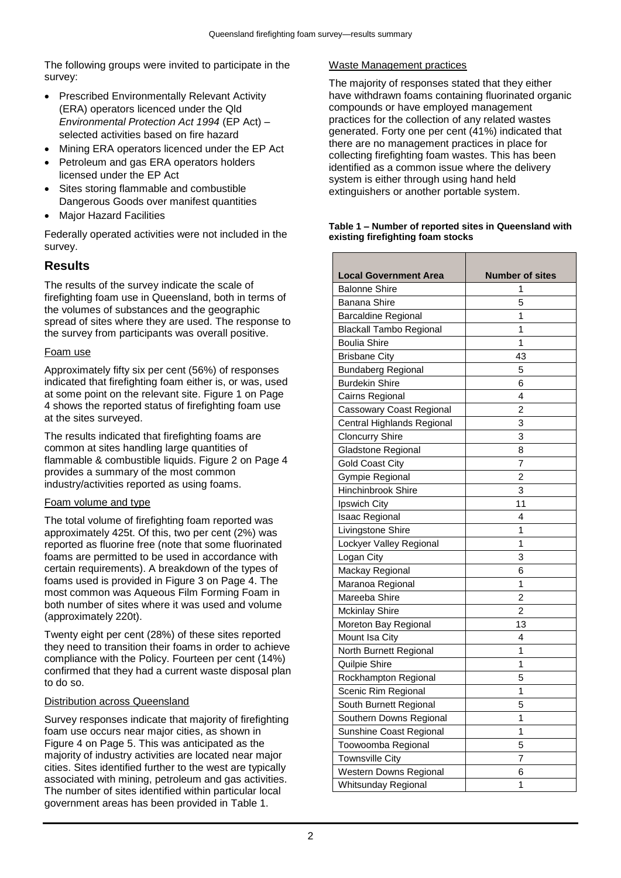The following groups were invited to participate in the survey:

- Prescribed Environmentally Relevant Activity (ERA) operators licenced under the Qld *Environmental Protection Act 1994* (EP Act) – selected activities based on fire hazard
- Mining ERA operators licenced under the EP Act
- Petroleum and gas ERA operators holders licensed under the EP Act
- Sites storing flammable and combustible Dangerous Goods over manifest quantities
- Major Hazard Facilities

Federally operated activities were not included in the survey.

## **Results**

The results of the survey indicate the scale of firefighting foam use in Queensland, both in terms of the volumes of substances and the geographic spread of sites where they are used. The response to the survey from participants was overall positive.

#### Foam use

Approximately fifty six per cent (56%) of responses indicated that firefighting foam either is, or was, used at some point on the relevant site. Figure 1 on Page 4 shows the reported status of firefighting foam use at the sites surveyed.

The results indicated that firefighting foams are common at sites handling large quantities of flammable & combustible liquids. Figure 2 on Page 4 provides a summary of the most common industry/activities reported as using foams.

#### Foam volume and type

The total volume of firefighting foam reported was approximately 425t. Of this, two per cent (2%) was reported as fluorine free (note that some fluorinated foams are permitted to be used in accordance with certain requirements). A breakdown of the types of foams used is provided in Figure 3 on Page 4. The most common was Aqueous Film Forming Foam in both number of sites where it was used and volume (approximately 220t).

Twenty eight per cent (28%) of these sites reported they need to transition their foams in order to achieve compliance with the Policy. Fourteen per cent (14%) confirmed that they had a current waste disposal plan to do so.

#### Distribution across Queensland

Survey responses indicate that majority of firefighting foam use occurs near major cities, as shown in Figure 4 on Page 5. This was anticipated as the majority of industry activities are located near major cities. Sites identified further to the west are typically associated with mining, petroleum and gas activities. The number of sites identified within particular local government areas has been provided in Table 1.

#### Waste Management practices

The majority of responses stated that they either have withdrawn foams containing fluorinated organic compounds or have employed management practices for the collection of any related wastes generated. Forty one per cent (41%) indicated that there are no management practices in place for collecting firefighting foam wastes. This has been identified as a common issue where the delivery system is either through using hand held extinguishers or another portable system.

#### **Table 1 – Number of reported sites in Queensland with existing firefighting foam stocks**

| <b>Local Government Area</b><br><b>Balonne Shire</b> | <b>Number of sites</b><br>1 |
|------------------------------------------------------|-----------------------------|
|                                                      |                             |
| <b>Banana Shire</b>                                  | 5                           |
| <b>Barcaldine Regional</b>                           | 1                           |
| Blackall Tambo Regional                              | 1                           |
| <b>Boulia Shire</b>                                  | 1                           |
| <b>Brisbane City</b>                                 | 43                          |
| Bundaberg Regional                                   | 5                           |
| <b>Burdekin Shire</b>                                | 6                           |
| Cairns Regional                                      | 4                           |
| Cassowary Coast Regional                             | $\overline{c}$              |
| Central Highlands Regional                           | 3                           |
| <b>Cloncurry Shire</b>                               | 3                           |
| Gladstone Regional                                   | 8                           |
| Gold Coast City                                      | 7                           |
| Gympie Regional                                      | $\overline{2}$              |
| Hinchinbrook Shire                                   | 3                           |
| Ipswich City                                         | 11                          |
| Isaac Regional                                       | 4                           |
| Livingstone Shire                                    | 1                           |
| Lockyer Valley Regional                              | 1                           |
| Logan City                                           | 3                           |
| Mackay Regional                                      | 6                           |
| Maranoa Regional                                     | 1                           |
| Mareeba Shire                                        | $\overline{2}$              |
| Mckinlay Shire                                       | 2                           |
| Moreton Bay Regional                                 | 13                          |
| Mount Isa City                                       | 4                           |
| North Burnett Regional                               | 1                           |
| Quilpie Shire                                        | 1                           |
| Rockhampton Regional                                 | 5                           |
| Scenic Rim Regional                                  | 1                           |
| South Burnett Regional                               | 5                           |
| Southern Downs Regional                              | 1                           |
| Sunshine Coast Regional                              | 1                           |
| Toowoomba Regional                                   | 5                           |
| Townsville City                                      | 7                           |
| Western Downs Regional                               | 6                           |
| Whitsunday Regional                                  | 1                           |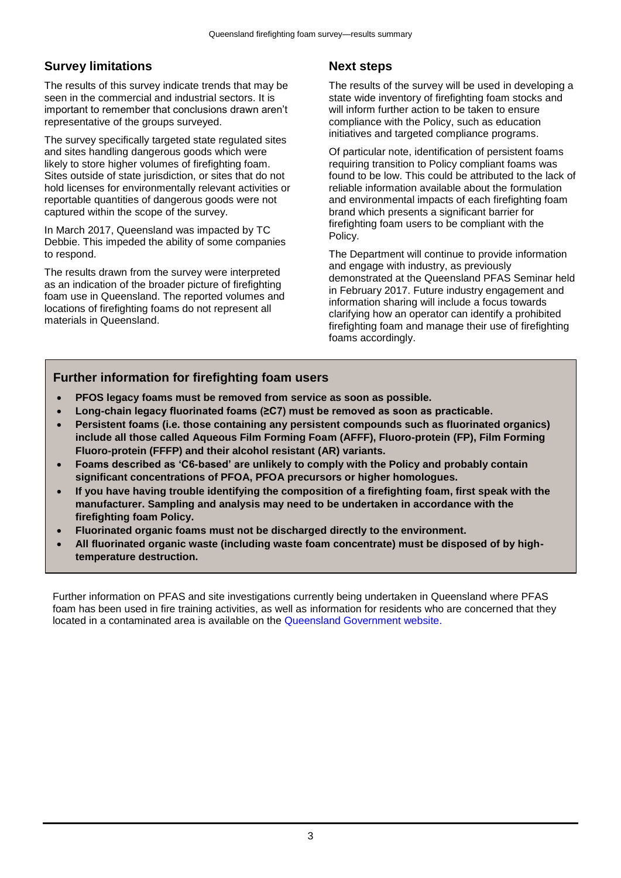## **Survey limitations**

The results of this survey indicate trends that may be seen in the commercial and industrial sectors. It is important to remember that conclusions drawn aren't representative of the groups surveyed.

The survey specifically targeted state regulated sites and sites handling dangerous goods which were likely to store higher volumes of firefighting foam. Sites outside of state jurisdiction, or sites that do not hold licenses for environmentally relevant activities or reportable quantities of dangerous goods were not captured within the scope of the survey.

In March 2017, Queensland was impacted by TC Debbie. This impeded the ability of some companies to respond.

The results drawn from the survey were interpreted as an indication of the broader picture of firefighting foam use in Queensland. The reported volumes and locations of firefighting foams do not represent all materials in Queensland.

## **Next steps**

The results of the survey will be used in developing a state wide inventory of firefighting foam stocks and will inform further action to be taken to ensure compliance with the Policy, such as education initiatives and targeted compliance programs.

Of particular note, identification of persistent foams requiring transition to Policy compliant foams was found to be low. This could be attributed to the lack of reliable information available about the formulation and environmental impacts of each firefighting foam brand which presents a significant barrier for firefighting foam users to be compliant with the Policy.

The Department will continue to provide information and engage with industry, as previously demonstrated at the Queensland PFAS Seminar held in February 2017. Future industry engagement and information sharing will include a focus towards clarifying how an operator can identify a prohibited firefighting foam and manage their use of firefighting foams accordingly.

## **Further information for firefighting foam users**

- **PFOS legacy foams must be removed from service as soon as possible.**
- **Long-chain legacy fluorinated foams (≥C7) must be removed as soon as practicable.**
- **Persistent foams (i.e. those containing any persistent compounds such as fluorinated organics) include all those called Aqueous Film Forming Foam (AFFF), Fluoro-protein (FP), Film Forming Fluoro-protein (FFFP) and their alcohol resistant (AR) variants.**
- **Foams described as 'C6-based' are unlikely to comply with the Policy and probably contain significant concentrations of PFOA, PFOA precursors or higher homologues.**
- **If you have having trouble identifying the composition of a firefighting foam, first speak with the manufacturer. Sampling and analysis may need to be undertaken in accordance with the firefighting foam Policy.**
- **Fluorinated organic foams must not be discharged directly to the environment.**
- **All fluorinated organic waste (including waste foam concentrate) must be disposed of by hightemperature destruction.**

Further information on PFAS and site investigations currently being undertaken in Queensland where PFAS foam has been used in fire training activities, as well as information for residents who are concerned that they located in a contaminated area is available on the [Queensland Government website.](https://www.qld.gov.au/environment/pollution/management/investigation-pfas/firefighting-foam/)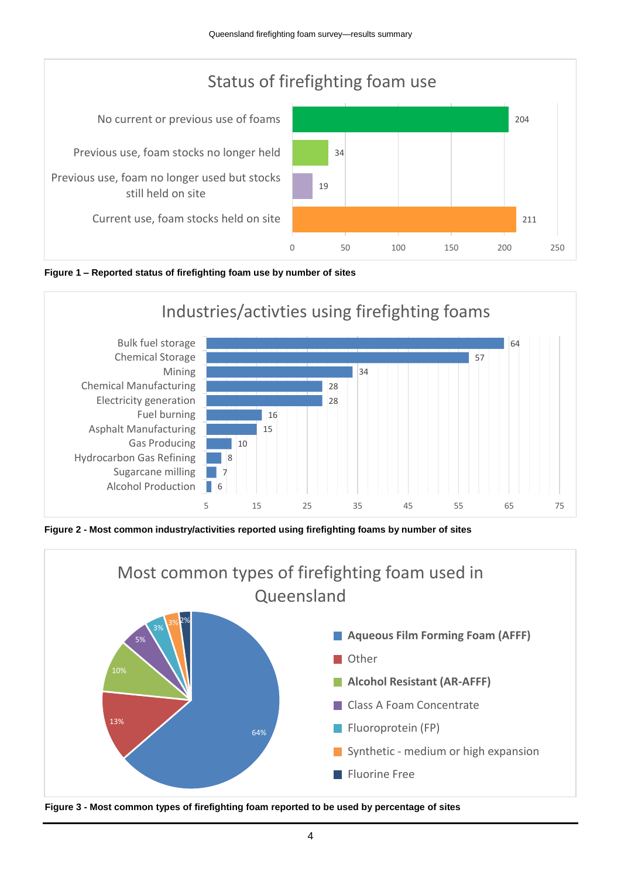





**Figure 2 - Most common industry/activities reported using firefighting foams by number of sites**



**Figure 3 - Most common types of firefighting foam reported to be used by percentage of sites**